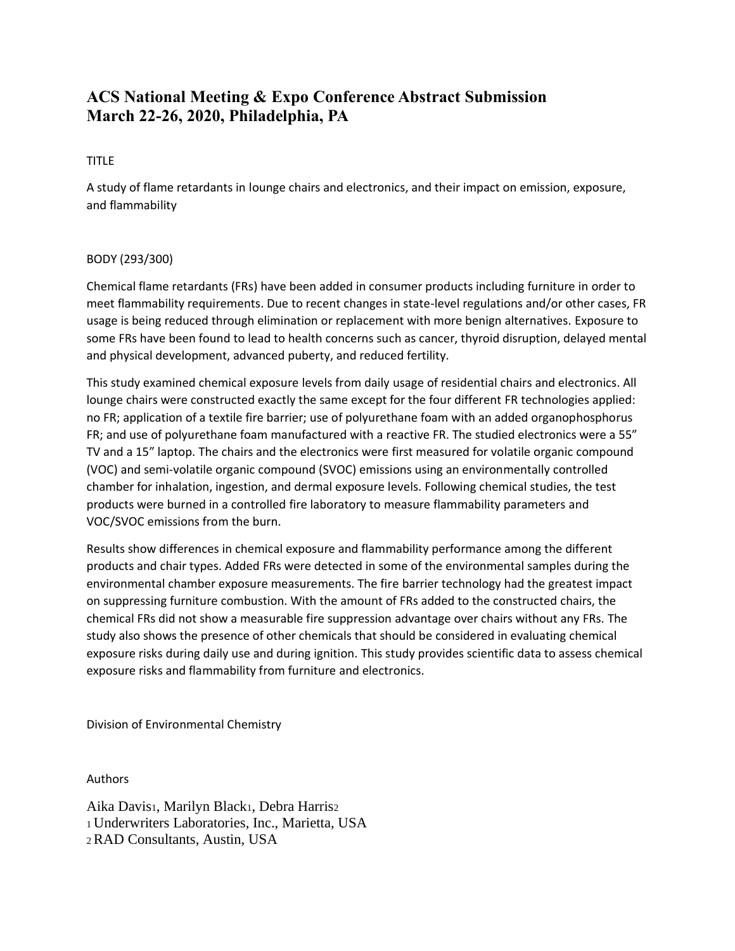## **ACS National Meeting & Expo Conference Abstract Submission March 22-26, 2020, Philadelphia, PA**

## TITLE

A study of flame retardants in lounge chairs and electronics, and their impact on emission, exposure, and flammability

## BODY (293/300)

Chemical flame retardants (FRs) have been added in consumer products including furniture in order to meet flammability requirements. Due to recent changes in state-level regulations and/or other cases, FR usage is being reduced through elimination or replacement with more benign alternatives. Exposure to some FRs have been found to lead to health concerns such as cancer, thyroid disruption, delayed mental and physical development, advanced puberty, and reduced fertility.

This study examined chemical exposure levels from daily usage of residential chairs and electronics. All lounge chairs were constructed exactly the same except for the four different FR technologies applied: no FR; application of a textile fire barrier; use of polyurethane foam with an added organophosphorus FR; and use of polyurethane foam manufactured with a reactive FR. The studied electronics were a 55" TV and a 15" laptop. The chairs and the electronics were first measured for volatile organic compound (VOC) and semi-volatile organic compound (SVOC) emissions using an environmentally controlled chamber for inhalation, ingestion, and dermal exposure levels. Following chemical studies, the test products were burned in a controlled fire laboratory to measure flammability parameters and VOC/SVOC emissions from the burn.

Results show differences in chemical exposure and flammability performance among the different products and chair types. Added FRs were detected in some of the environmental samples during the environmental chamber exposure measurements. The fire barrier technology had the greatest impact on suppressing furniture combustion. With the amount of FRs added to the constructed chairs, the chemical FRs did not show a measurable fire suppression advantage over chairs without any FRs. The study also shows the presence of other chemicals that should be considered in evaluating chemical exposure risks during daily use and during ignition. This study provides scientific data to assess chemical exposure risks and flammability from furniture and electronics.

Division of Environmental Chemistry

Authors

Aika Davis1, Marilyn Black1, Debra Harris<sup>2</sup> <sup>1</sup> Underwriters Laboratories, Inc., Marietta, USA 2RAD Consultants, Austin, USA